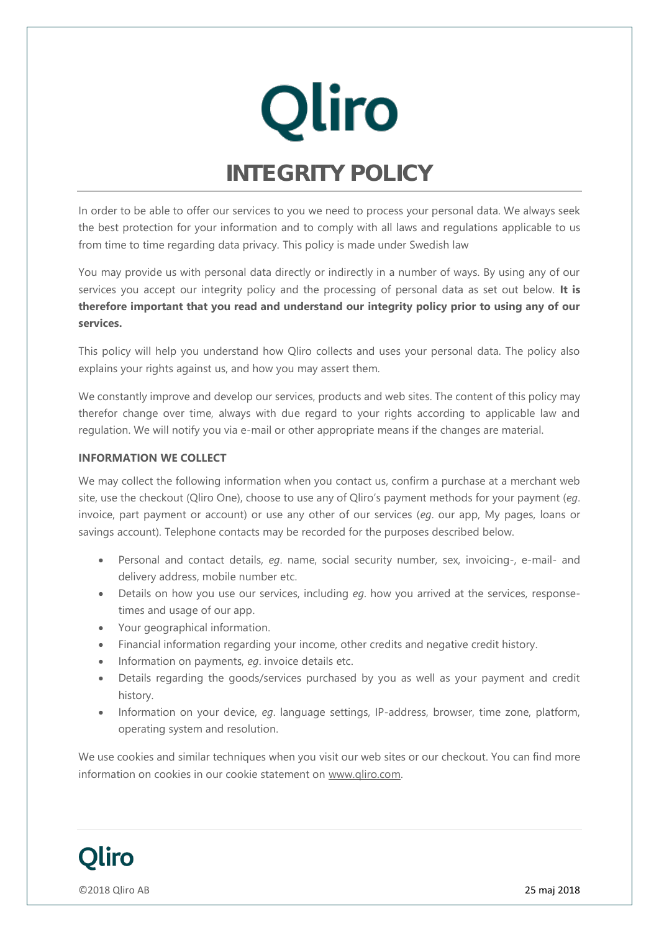

In order to be able to offer our services to you we need to process your personal data. We always seek the best protection for your information and to comply with all laws and regulations applicable to us from time to time regarding data privacy. This policy is made under Swedish law

You may provide us with personal data directly or indirectly in a number of ways. By using any of our services you accept our integrity policy and the processing of personal data as set out below. **It is therefore important that you read and understand our integrity policy prior to using any of our services.**

This policy will help you understand how Qliro collects and uses your personal data. The policy also explains your rights against us, and how you may assert them.

We constantly improve and develop our services, products and web sites. The content of this policy may therefor change over time, always with due regard to your rights according to applicable law and regulation. We will notify you via e-mail or other appropriate means if the changes are material.

## **INFORMATION WE COLLECT**

We may collect the following information when you contact us, confirm a purchase at a merchant web site, use the checkout (Qliro One), choose to use any of Qliro's payment methods for your payment (*eg*. invoice, part payment or account) or use any other of our services (*eg*. our app, My pages, loans or savings account). Telephone contacts may be recorded for the purposes described below.

- Personal and contact details, *eg*. name, social security number, sex, invoicing-, e-mail- and delivery address, mobile number etc.
- Details on how you use our services, including *eg*. how you arrived at the services, responsetimes and usage of our app.
- Your geographical information.
- Financial information regarding your income, other credits and negative credit history.
- Information on payments, *eg*. invoice details etc.
- Details regarding the goods/services purchased by you as well as your payment and credit history.
- Information on your device, *eg*. language settings, IP-address, browser, time zone, platform, operating system and resolution.

We use cookies and similar techniques when you visit our web sites or our checkout. You can find more information on cookies in our cookie statement on [www.qliro.com.](http://www.qliro.com/)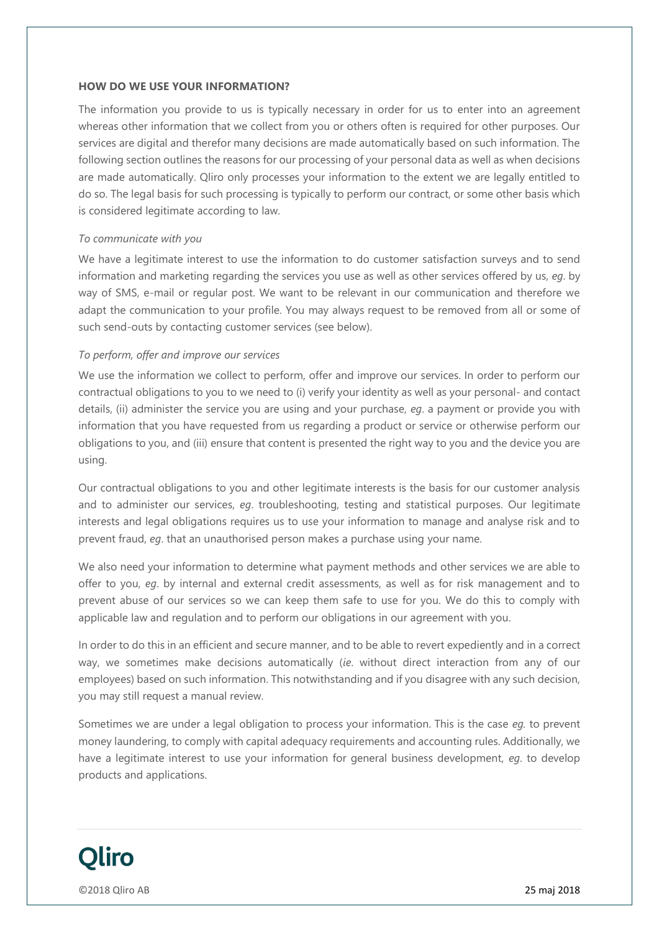### **HOW DO WE USE YOUR INFORMATION?**

The information you provide to us is typically necessary in order for us to enter into an agreement whereas other information that we collect from you or others often is required for other purposes. Our services are digital and therefor many decisions are made automatically based on such information. The following section outlines the reasons for our processing of your personal data as well as when decisions are made automatically. Qliro only processes your information to the extent we are legally entitled to do so. The legal basis for such processing is typically to perform our contract, or some other basis which is considered legitimate according to law.

## *To communicate with you*

We have a legitimate interest to use the information to do customer satisfaction surveys and to send information and marketing regarding the services you use as well as other services offered by us, *eg*. by way of SMS, e-mail or regular post. We want to be relevant in our communication and therefore we adapt the communication to your profile. You may always request to be removed from all or some of such send-outs by contacting customer services (see below).

## *To perform, offer and improve our services*

We use the information we collect to perform, offer and improve our services. In order to perform our contractual obligations to you to we need to (i) verify your identity as well as your personal- and contact details, (ii) administer the service you are using and your purchase, *eg*. a payment or provide you with information that you have requested from us regarding a product or service or otherwise perform our obligations to you, and (iii) ensure that content is presented the right way to you and the device you are using.

Our contractual obligations to you and other legitimate interests is the basis for our customer analysis and to administer our services, *eg*. troubleshooting, testing and statistical purposes. Our legitimate interests and legal obligations requires us to use your information to manage and analyse risk and to prevent fraud, *eg*. that an unauthorised person makes a purchase using your name.

We also need your information to determine what payment methods and other services we are able to offer to you, *eg*. by internal and external credit assessments, as well as for risk management and to prevent abuse of our services so we can keep them safe to use for you. We do this to comply with applicable law and regulation and to perform our obligations in our agreement with you.

In order to do this in an efficient and secure manner, and to be able to revert expediently and in a correct way, we sometimes make decisions automatically (*ie*. without direct interaction from any of our employees) based on such information. This notwithstanding and if you disagree with any such decision, you may still request a manual review.

Sometimes we are under a legal obligation to process your information. This is the case *eg.* to prevent money laundering, to comply with capital adequacy requirements and accounting rules. Additionally, we have a legitimate interest to use your information for general business development, *eg*. to develop products and applications.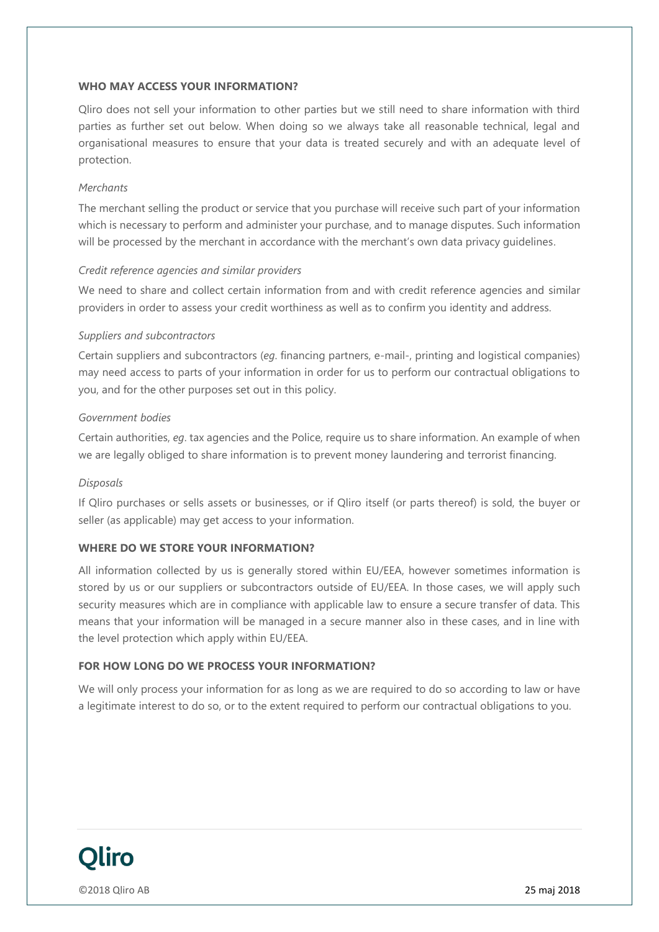## **WHO MAY ACCESS YOUR INFORMATION?**

Qliro does not sell your information to other parties but we still need to share information with third parties as further set out below. When doing so we always take all reasonable technical, legal and organisational measures to ensure that your data is treated securely and with an adequate level of protection.

## *Merchants*

The merchant selling the product or service that you purchase will receive such part of your information which is necessary to perform and administer your purchase, and to manage disputes. Such information will be processed by the merchant in accordance with the merchant's own data privacy guidelines.

## *Credit reference agencies and similar providers*

We need to share and collect certain information from and with credit reference agencies and similar providers in order to assess your credit worthiness as well as to confirm you identity and address.

## *Suppliers and subcontractors*

Certain suppliers and subcontractors (*eg*. financing partners, e-mail-, printing and logistical companies) may need access to parts of your information in order for us to perform our contractual obligations to you, and for the other purposes set out in this policy.

## *Government bodies*

Certain authorities, *eg*. tax agencies and the Police, require us to share information. An example of when we are legally obliged to share information is to prevent money laundering and terrorist financing.

#### *Disposals*

If Qliro purchases or sells assets or businesses, or if Qliro itself (or parts thereof) is sold, the buyer or seller (as applicable) may get access to your information.

# **WHERE DO WE STORE YOUR INFORMATION?**

All information collected by us is generally stored within EU/EEA, however sometimes information is stored by us or our suppliers or subcontractors outside of EU/EEA. In those cases, we will apply such security measures which are in compliance with applicable law to ensure a secure transfer of data. This means that your information will be managed in a secure manner also in these cases, and in line with the level protection which apply within EU/EEA.

# **FOR HOW LONG DO WE PROCESS YOUR INFORMATION?**

We will only process your information for as long as we are required to do so according to law or have a legitimate interest to do so, or to the extent required to perform our contractual obligations to you.